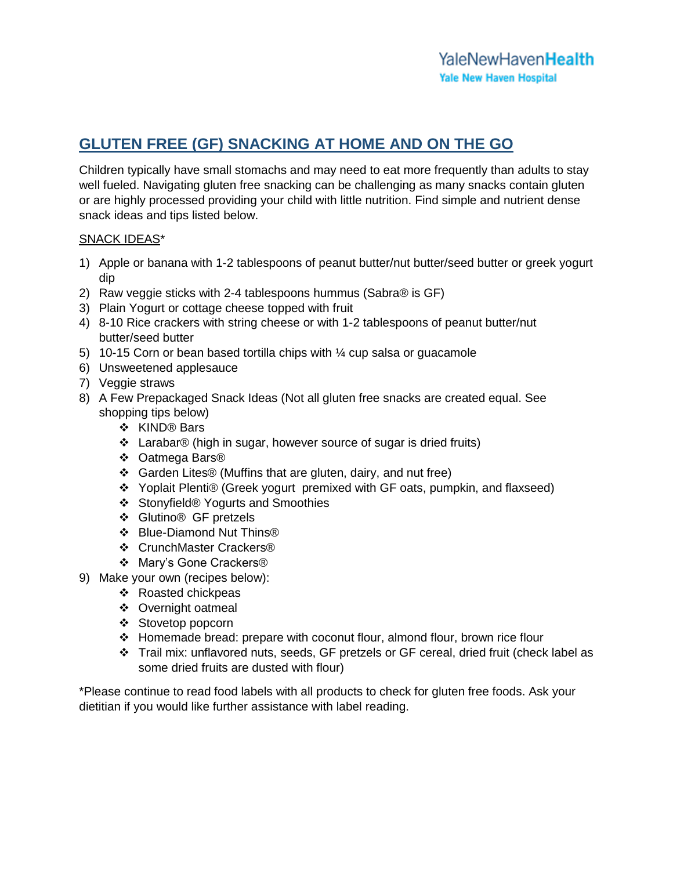# **GLUTEN FREE (GF) SNACKING AT HOME AND ON THE GO**

Children typically have small stomachs and may need to eat more frequently than adults to stay well fueled. Navigating gluten free snacking can be challenging as many snacks contain gluten or are highly processed providing your child with little nutrition. Find simple and nutrient dense snack ideas and tips listed below.

## SNACK IDEAS\*

- 1) Apple or banana with 1-2 tablespoons of peanut butter/nut butter/seed butter or greek yogurt dip
- 2) Raw veggie sticks with 2-4 tablespoons hummus (Sabra® is GF)
- 3) Plain Yogurt or cottage cheese topped with fruit
- 4) 8-10 Rice crackers with string cheese or with 1-2 tablespoons of peanut butter/nut butter/seed butter
- 5) 10-15 Corn or bean based tortilla chips with ¼ cup salsa or guacamole
- 6) Unsweetened applesauce
- 7) Veggie straws
- 8) A Few Prepackaged Snack Ideas (Not all gluten free snacks are created equal. See shopping tips below)
	- ❖ KIND® Bars
	- Larabar® (high in sugar, however source of sugar is dried fruits)
	- Oatmega Bars®
	- Garden Lites® (Muffins that are gluten, dairy, and nut free)
	- Yoplait Plenti® (Greek yogurt premixed with GF oats, pumpkin, and flaxseed)
	- Stonyfield® Yogurts and Smoothies
	- Glutino® GF pretzels
	- Blue-Diamond Nut Thins®
	- ❖ CrunchMaster Crackers®
	- Mary's Gone Crackers®
- 9) Make your own (recipes below):
	- ❖ Roasted chickpeas
	- ❖ Overnight oatmeal
	- Stovetop popcorn
	- $\div$  Homemade bread: prepare with coconut flour, almond flour, brown rice flour
	- Trail mix: unflavored nuts, seeds, GF pretzels or GF cereal, dried fruit (check label as some dried fruits are dusted with flour)

\*Please continue to read food labels with all products to check for gluten free foods. Ask your dietitian if you would like further assistance with label reading.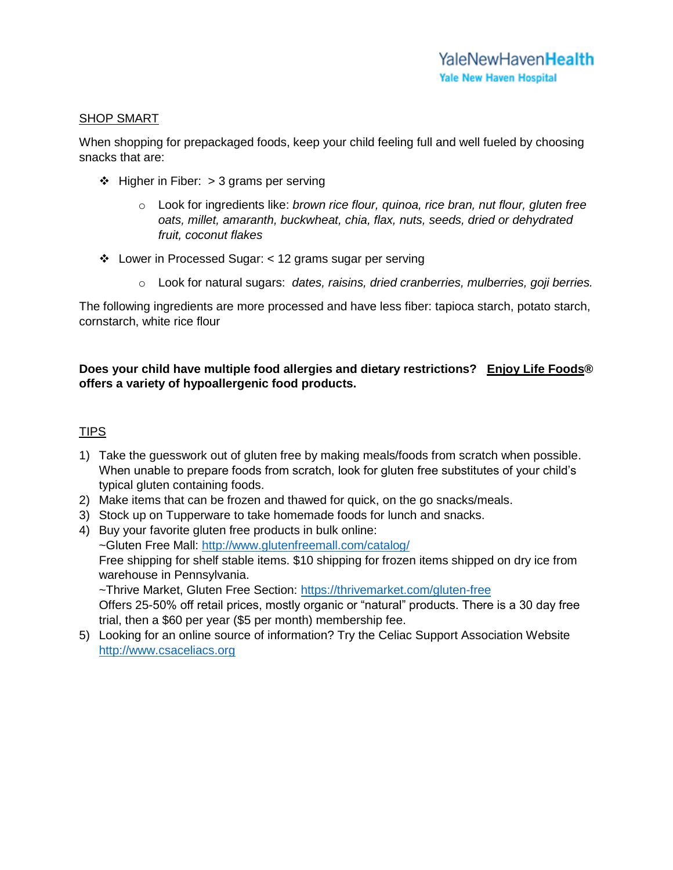## SHOP SMART

When shopping for prepackaged foods, keep your child feeling full and well fueled by choosing snacks that are:

- $\div$  Higher in Fiber: > 3 grams per serving
	- o Look for ingredients like: *brown rice flour, quinoa, rice bran, nut flour, gluten free oats, millet, amaranth, buckwheat, chia, flax, nuts, seeds, dried or dehydrated fruit, coconut flakes*
- Lower in Processed Sugar: < 12 grams sugar per serving
	- o Look for natural sugars: *dates, raisins, dried cranberries, mulberries, goji berries.*

The following ingredients are more processed and have less fiber: tapioca starch, potato starch, cornstarch, white rice flour

# **Does your child have multiple food allergies and dietary restrictions? Enjoy Life Foods® offers a variety of hypoallergenic food products.**

# TIPS

- 1) Take the guesswork out of gluten free by making meals/foods from scratch when possible. When unable to prepare foods from scratch, look for gluten free substitutes of your child's typical gluten containing foods.
- 2) Make items that can be frozen and thawed for quick, on the go snacks/meals.
- 3) Stock up on Tupperware to take homemade foods for lunch and snacks.
- 4) Buy your favorite gluten free products in bulk online: ~Gluten Free Mall:<http://www.glutenfreemall.com/catalog/> Free shipping for shelf stable items. \$10 shipping for frozen items shipped on dry ice from warehouse in Pennsylvania.

~Thrive Market, Gluten Free Section:<https://thrivemarket.com/gluten-free>

Offers 25-50% off retail prices, mostly organic or "natural" products. There is a 30 day free trial, then a \$60 per year (\$5 per month) membership fee.

5) Looking for an online source of information? Try the Celiac Support Association Website [http://www.csaceliacs.org](http://www.csaceliacs.org/)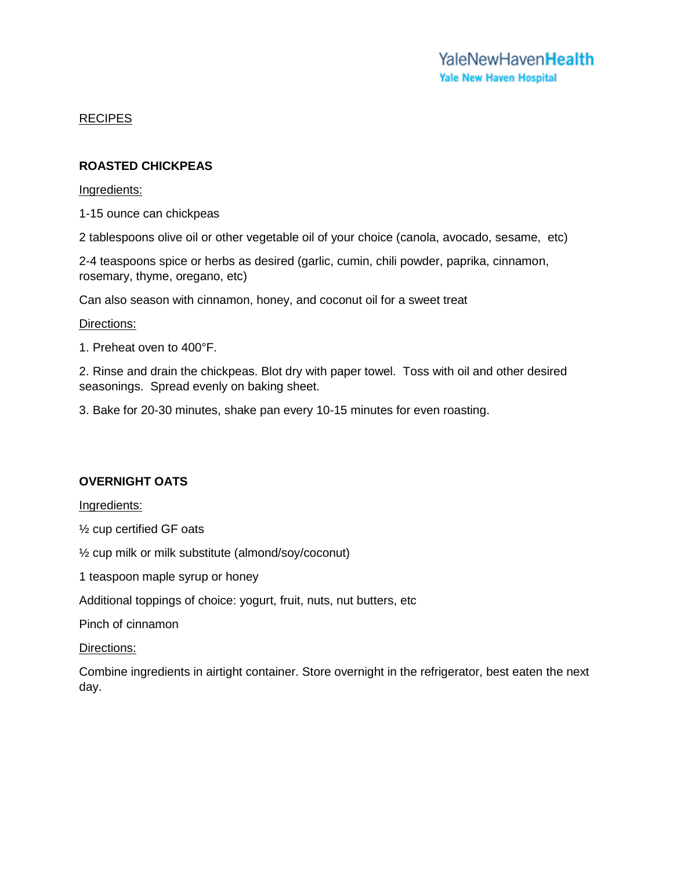## RECIPES

## **ROASTED CHICKPEAS**

### Ingredients:

1-15 ounce can chickpeas

2 tablespoons olive oil or other vegetable oil of your choice (canola, avocado, sesame, etc)

2-4 teaspoons spice or herbs as desired (garlic, cumin, chili powder, paprika, cinnamon, rosemary, thyme, oregano, etc)

Can also season with cinnamon, honey, and coconut oil for a sweet treat

#### Directions:

1. Preheat oven to 400°F.

2. Rinse and drain the chickpeas. Blot dry with paper towel. Toss with oil and other desired seasonings. Spread evenly on baking sheet.

3. Bake for 20-30 minutes, shake pan every 10-15 minutes for even roasting.

## **OVERNIGHT OATS**

Ingredients:

½ cup certified GF oats

½ cup milk or milk substitute (almond/soy/coconut)

1 teaspoon maple syrup or honey

Additional toppings of choice: yogurt, fruit, nuts, nut butters, etc

Pinch of cinnamon

Directions:

Combine ingredients in airtight container. Store overnight in the refrigerator, best eaten the next day.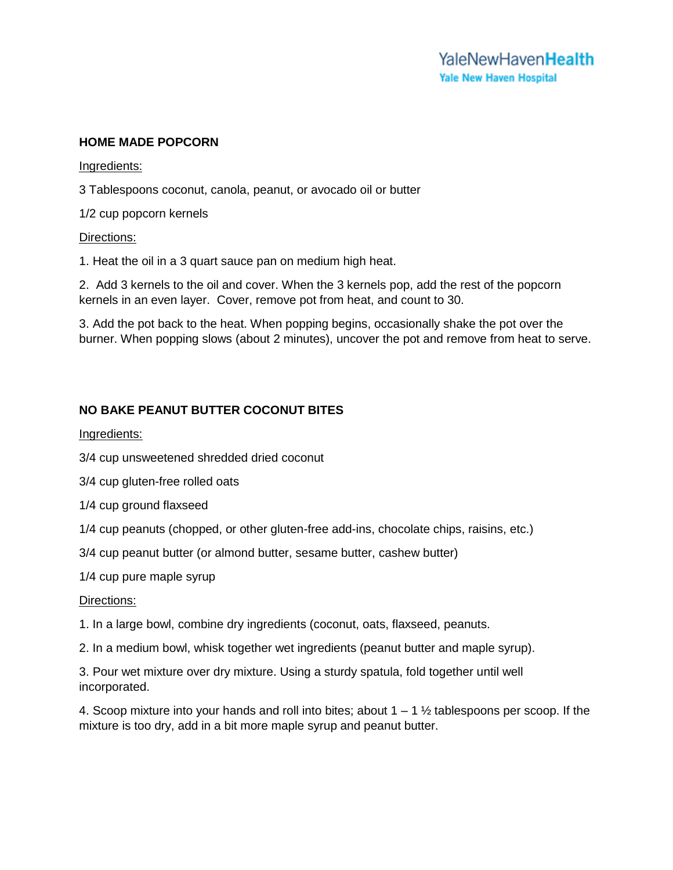## **HOME MADE POPCORN**

#### Ingredients:

3 Tablespoons coconut, canola, peanut, or avocado oil or butter

1/2 cup popcorn kernels

#### Directions:

1. Heat the oil in a 3 quart sauce pan on medium high heat.

2. Add 3 kernels to the oil and cover. When the 3 kernels pop, add the rest of the popcorn kernels in an even layer. Cover, remove pot from heat, and count to 30.

3. Add the pot back to the heat. When popping begins, occasionally shake the pot over the burner. When popping slows (about 2 minutes), uncover the pot and remove from heat to serve.

## **NO BAKE PEANUT BUTTER COCONUT BITES**

### Ingredients:

3/4 cup unsweetened shredded dried coconut

3/4 cup gluten-free rolled oats

1/4 cup ground flaxseed

1/4 cup peanuts (chopped, or other gluten-free add-ins, chocolate chips, raisins, etc.)

3/4 cup peanut butter (or almond butter, sesame butter, cashew butter)

1/4 cup pure maple syrup

#### Directions:

1. In a large bowl, combine dry ingredients (coconut, oats, flaxseed, peanuts.

2. In a medium bowl, whisk together wet ingredients (peanut butter and maple syrup).

3. Pour wet mixture over dry mixture. Using a sturdy spatula, fold together until well incorporated.

4. Scoop mixture into your hands and roll into bites; about  $1 - 1 \frac{1}{2}$  tablespoons per scoop. If the mixture is too dry, add in a bit more maple syrup and peanut butter.